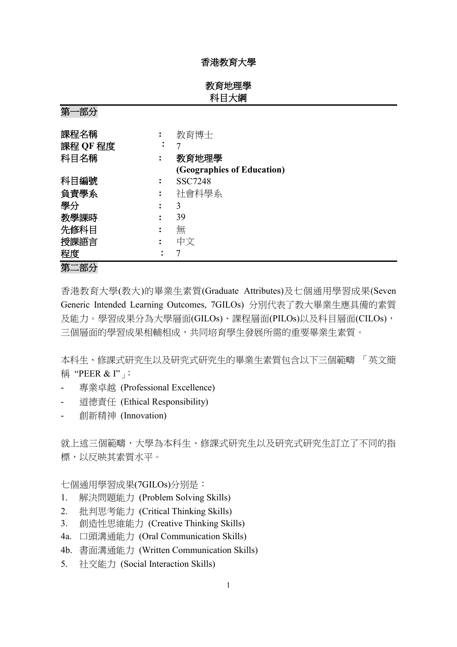### 香港教育大學

教育地理學 科目大綱

| ᅎ<br>ロトノコ |           |                            |
|-----------|-----------|----------------------------|
| 課程名稱      |           | 教育博士                       |
| 課程 QF 程度  | $\bullet$ |                            |
| 科目名稱      |           | 教育地理學                      |
|           |           | (Geographies of Education) |
| 科目編號      |           | <b>SSC7248</b>             |
| 負責學系      |           | 社會科學系                      |
| 學分        |           | 3                          |
| 教學課時      |           | 39                         |
| 先修科目      |           | 無                          |
| 授課語言      |           | 中文                         |
| 程度        |           |                            |
| 第二部分      |           |                            |

香港教育大學(教大)的畢業生素質(Graduate Attributes)及七個通用學習成果(Seven Generic Intended Learning Outcomes, 7GILOs) 分別代表了教大畢業生應具備的素質 及能力。學習成果分為大學層面(GILOs)、課程層面(PILOs)以及科目層面(CILOs), 三個層面的學習成果相輔相成,共同培育學生發展所需的重要畢業生素質。

本科生、修課式研究生以及研究式研究生的畢業生素質包含以下三個範疇 「英文簡 稱 "PEER & I"」:

- 專業卓越 (Professional Excellence)
- 道德責任 (Ethical Responsibility)
- 創新精神 (Innovation)

第一部分

就上述三個範疇,大學為本科生、修課式研究生以及研究式研究生訂立了不同的指 標,以反映其素質水平。

七個通用學習成果(7GILOs)分別是:

- 1. 解決問題能力 (Problem Solving Skills)
- 2. 批判思考能力 (Critical Thinking Skills)
- 3. 創造性思維能力 (Creative Thinking Skills)
- 4a. 口頭溝通能力 (Oral Communication Skills)
- 4b. 書面溝通能力 (Written Communication Skills)
- 5. 社交能力 (Social Interaction Skills)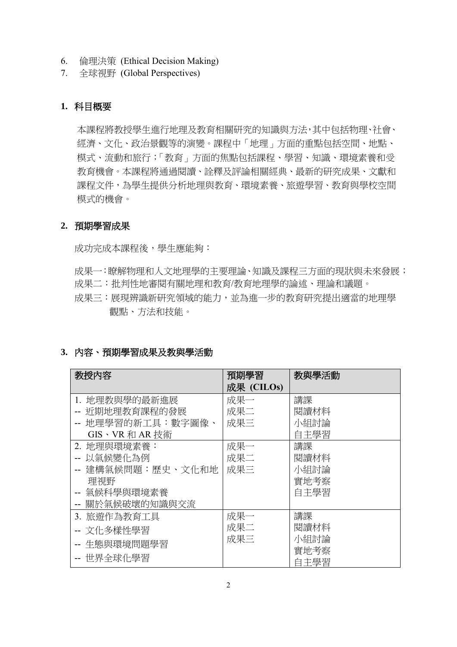- 6. 倫理決策 (Ethical Decision Making)
- 7. 全球視野 (Global Perspectives)

## **1.** 科目概要

本課程將教授學生進行地理及教育相關研究的知識與方法,其中包括物理、社會、 經濟、文化、政治景觀等的演變。課程中「地理」方面的重點包括空間、地點、 模式、流動和旅行;「教育」方面的焦點包括課程、學習、知識、環境素養和受 教育機會。本課程將通過閱讀、詮釋及評論相關經典、最新的研究成果、文獻和 課程文件,為學生提供分析地理與教育、環境素養、旅遊學習、教育與學校空間 模式的機會。

#### **2.** 預期學習成果

成功完成本課程後,學生應能夠:

- 成果一:瞭解物理和人文地理學的主要理論、知識及課程三方面的現狀與未來發展;
- 成果二:批判性地審閱有關地理和教育/教育地理學的論述、理論和議題。
- 成果三:展現辨識新研究領域的能力,並為進一步的教育研究提出適當的地理學 觀點、方法和技能。

## **3.** 內容、預期學習成果及教與學活動

| 教授内容              | 預期學習       | 教與學活動 |
|-------------------|------------|-------|
|                   | 成果 (CILOs) |       |
| 1. 地理教與學的最新進展     | 成果一        | 講課    |
| 近期地理教育課程的發展       | 成果二        | 閱讀材料  |
| 地理學習的新工具:數字圖像、    | 成果三        | 小組討論  |
| GIS、VR 和 AR 技術    |            | 自主學習  |
| 2. 地理與環境素養:       | 成果一        | 講課    |
| 以氣候變化為例           | 成果二        | 閱讀材料  |
| -- 建構氣候問題:歷史、文化和地 | 成果三        | 小組討論  |
| 理視野               |            | 實地考察  |
| -- 氣候科學與環境素養      |            | 自主學習  |
| -- 關於氣候破壞的知識與交流   |            |       |
| 3. 旅遊作為教育工具       | 成果一        | 講課    |
| -- 文化多樣性學習        | 成果二        | 閱讀材料  |
| 生熊與環境問題學習         | 成果三        | 小組討論  |
| -- 世界全球化學習        |            | 實地考察  |
|                   |            | 自主學習  |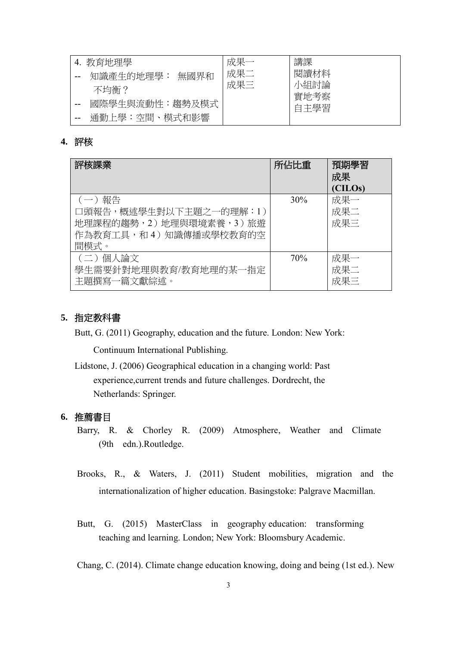| 4. 教育地理學          | 成果一 | 講課           |
|-------------------|-----|--------------|
| 無國界和<br>知識產生的地理學: | 成果二 | 閱讀材料         |
| 不均衡?              | 成果三 | 小組討論<br>實地考察 |
| 國際學生與流動性:趨勢及模式    |     | 自主學習         |
| 通勤上學:空間、模式和影響     |     |              |

#### **4.** 評核

| 評核課業                                                                                           | 所佔比重 | 預期學習<br>成果<br>(CILOs) |
|------------------------------------------------------------------------------------------------|------|-----------------------|
| (一) 報告<br>口頭報告,概述學生對以下主題之一的理解:1)<br>地理課程的趨勢,2)地理與環境素養,3)旅遊<br>作為教育工具,和 4 ) 知識傳播或學校教育的空<br>間模式。 | 30%  | 成果一<br>成果二<br>成果三     |
| (二) 個人論文<br>學生需要針對地理與教育/教育地理的某一指定<br>主題撰寫一篇文獻綜述。                                               | 70%  | 成果一<br>成果二<br>成果三     |

#### **5.** 指定教科書

Butt, G. (2011) Geography, education and the future. London: New York:

Continuum International Publishing.

Lidstone, J. (2006) Geographical education in a changing world: Past experience,current trends and future challenges. Dordrecht, the Netherlands: Springer.

## **6.** 推薦書目

- Barry, R. & Chorley R. (2009) Atmosphere, Weather and Climate (9th edn.).Routledge.
- Brooks, R., & Waters, J. (2011) Student mobilities, migration and the internationalization of higher education. Basingstoke: Palgrave Macmillan.
- Butt, G. (2015) MasterClass in geography education: transforming teaching and learning. London; New York: Bloomsbury Academic.

Chang, C. (2014). Climate change education knowing, doing and being (1st ed.). New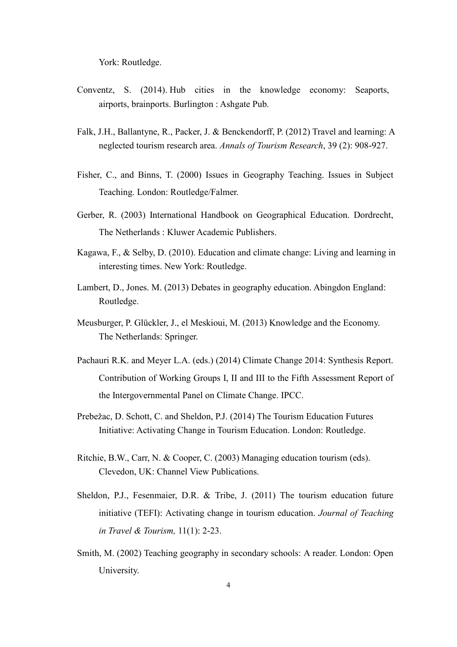York: Routledge.

- Conventz, S. (2014). Hub cities in the knowledge economy: Seaports, airports, brainports. Burlington : Ashgate Pub.
- Falk, J.H., Ballantyne, R., Packer, J. & Benckendorff, P. (2012) Travel and learning: A neglected tourism research area. *Annals of Tourism Research*, 39 (2): 908-927.
- Fisher, C., and Binns, T. (2000) Issues in Geography Teaching. Issues in Subject Teaching. London: Routledge/Falmer.
- Gerber, R. (2003) International Handbook on Geographical Education. Dordrecht, The Netherlands : Kluwer Academic Publishers.
- Kagawa, F., & Selby, D. (2010). Education and climate change: Living and learning in interesting times. New York: Routledge.
- Lambert, D., Jones. M. (2013) Debates in geography education. Abingdon England: Routledge.
- Meusburger, P. Glückler, J., el Meskioui, M. (2013) Knowledge and the Economy. The Netherlands: Springer.
- Pachauri R.K. and Meyer L.A. (eds.) (2014) Climate Change 2014: Synthesis Report. Contribution of Working Groups I, II and III to the Fifth Assessment Report of the Intergovernmental Panel on Climate Change. IPCC.
- Prebežac, D. Schott, C. and Sheldon, P.J. (2014) The Tourism Education Futures Initiative: Activating Change in Tourism Education. London: Routledge.
- Ritchie, B.W., Carr, N. & Cooper, C. (2003) Managing education tourism (eds). Clevedon, UK: Channel View Publications.
- Sheldon, P.J., Fesenmaier, D.R. & Tribe, J. (2011) The tourism education future initiative (TEFI): Activating change in tourism education. *Journal of Teaching in Travel & Tourism,* 11(1): 2-23.
- Smith, M. (2002) Teaching geography in secondary schools: A reader. London: Open University.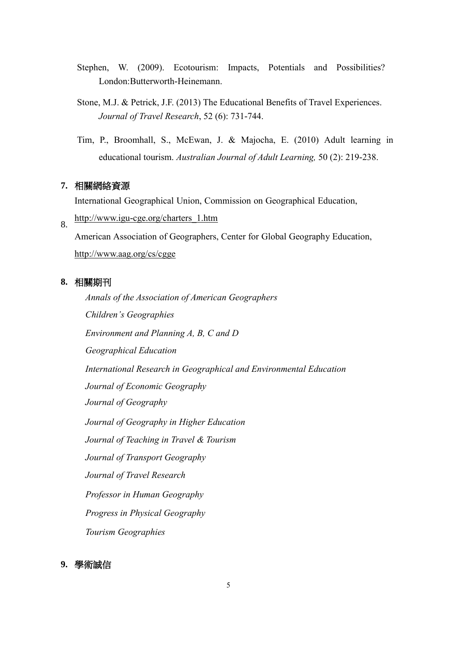- Stephen, W. (2009). Ecotourism: Impacts, Potentials and Possibilities? London:Butterworth-Heinemann.
- Stone, M.J. & Petrick, J.F. (2013) The Educational Benefits of Travel Experiences. *Journal of Travel Research*, 52 (6): 731-744.
- Tim, P., Broomhall, S., McEwan, J. & Majocha, E. (2010) Adult learning in educational tourism. *Australian Journal of Adult Learning,* 50 (2): 219-238.

## **7.** 相關網絡資源

International Geographical Union, Commission on Geographical Education,

8. [http://www.igu-cge.org/charters\\_1.htm](http://www.igu-cge.org/charters_1.htm)

American Association of Geographers, Center for Global Geography Education, <http://www.aag.org/cs/cgge>

## **8.** 相關期刊

*Annals of the Association of American Geographers Children's Geographies Environment and Planning A, B, C and D Geographical Education [International Research in Geographical and Environmental Education](http://www.tandfonline.com/rgee20) Journal of Economic Geography Journal of Geography [Journal of Geography in Higher Education](http://www.tandfonline.com/cjgh20) Journal of Teaching in Travel & Tourism Journal of Transport Geography Journal of Travel Research Professor in Human Geography Progress in Physical Geography Tourism Geographies*

#### **9.** 學術誠信